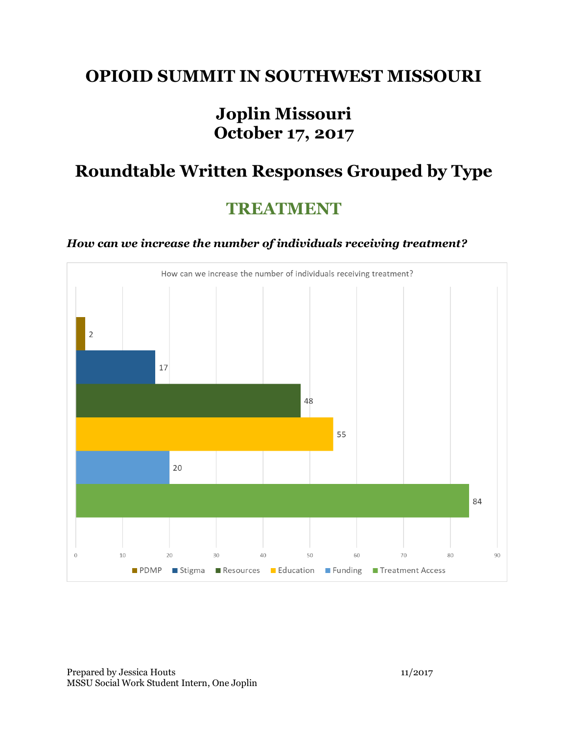### **OPIOID SUMMIT IN SOUTHWEST MISSOURI**

# **Joplin Missouri October 17, 2017**

# **Roundtable Written Responses Grouped by Type**

## **TREATMENT**

#### *How can we increase the number of individuals receiving treatment?*



Prepared by Jessica Houts 11/2017 MSSU Social Work Student Intern, One Joplin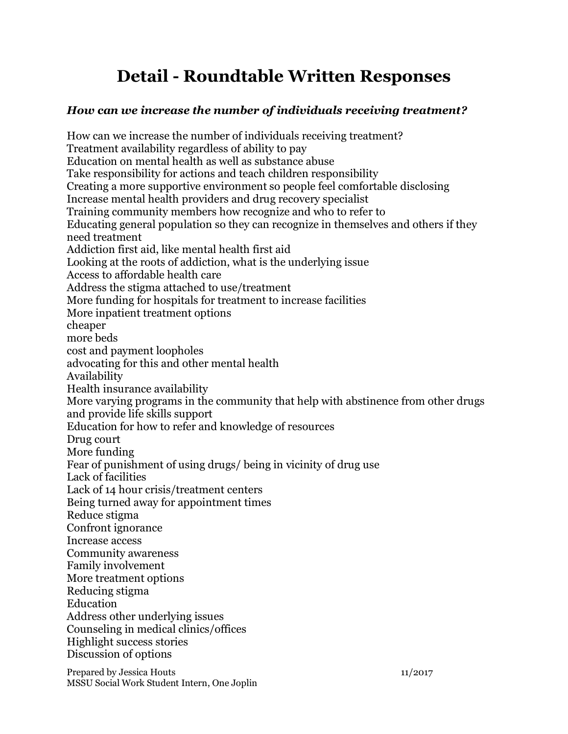# **Detail - Roundtable Written Responses**

#### *How can we increase the number of individuals receiving treatment?*

How can we increase the number of individuals receiving treatment? Treatment availability regardless of ability to pay Education on mental health as well as substance abuse Take responsibility for actions and teach children responsibility Creating a more supportive environment so people feel comfortable disclosing Increase mental health providers and drug recovery specialist Training community members how recognize and who to refer to Educating general population so they can recognize in themselves and others if they need treatment Addiction first aid, like mental health first aid Looking at the roots of addiction, what is the underlying issue Access to affordable health care Address the stigma attached to use/treatment More funding for hospitals for treatment to increase facilities More inpatient treatment options cheaper more beds cost and payment loopholes advocating for this and other mental health Availability Health insurance availability More varying programs in the community that help with abstinence from other drugs and provide life skills support Education for how to refer and knowledge of resources Drug court More funding Fear of punishment of using drugs/ being in vicinity of drug use Lack of facilities Lack of 14 hour crisis/treatment centers Being turned away for appointment times Reduce stigma Confront ignorance Increase access Community awareness Family involvement More treatment options Reducing stigma Education Address other underlying issues Counseling in medical clinics/offices Highlight success stories Discussion of options

Prepared by Jessica Houts 11/2017 MSSU Social Work Student Intern, One Joplin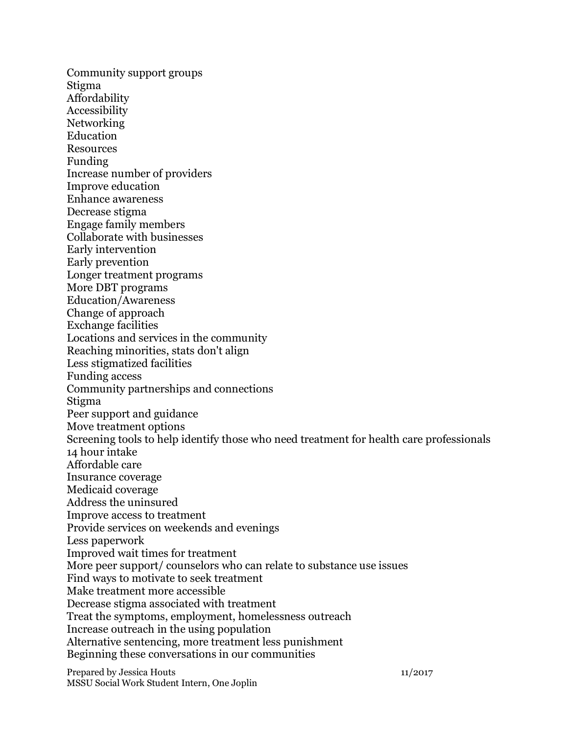Community support groups Stigma Affordability Accessibility Networking Education Resources Funding Increase number of providers Improve education Enhance awareness Decrease stigma Engage family members Collaborate with businesses Early intervention Early prevention Longer treatment programs More DBT programs Education/Awareness Change of approach Exchange facilities Locations and services in the community Reaching minorities, stats don't align Less stigmatized facilities Funding access Community partnerships and connections Stigma Peer support and guidance Move treatment options Screening tools to help identify those who need treatment for health care professionals 14 hour intake Affordable care Insurance coverage Medicaid coverage Address the uninsured Improve access to treatment Provide services on weekends and evenings Less paperwork Improved wait times for treatment More peer support/ counselors who can relate to substance use issues Find ways to motivate to seek treatment Make treatment more accessible Decrease stigma associated with treatment Treat the symptoms, employment, homelessness outreach Increase outreach in the using population Alternative sentencing, more treatment less punishment Beginning these conversations in our communities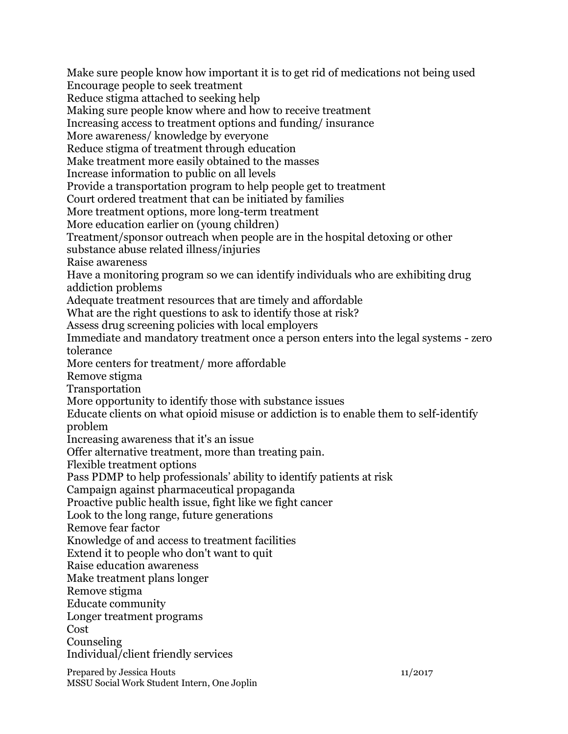Prepared by Jessica Houts 11/2017 Make sure people know how important it is to get rid of medications not being used Encourage people to seek treatment Reduce stigma attached to seeking help Making sure people know where and how to receive treatment Increasing access to treatment options and funding/ insurance More awareness/ knowledge by everyone Reduce stigma of treatment through education Make treatment more easily obtained to the masses Increase information to public on all levels Provide a transportation program to help people get to treatment Court ordered treatment that can be initiated by families More treatment options, more long-term treatment More education earlier on (young children) Treatment/sponsor outreach when people are in the hospital detoxing or other substance abuse related illness/injuries Raise awareness Have a monitoring program so we can identify individuals who are exhibiting drug addiction problems Adequate treatment resources that are timely and affordable What are the right questions to ask to identify those at risk? Assess drug screening policies with local employers Immediate and mandatory treatment once a person enters into the legal systems - zero tolerance More centers for treatment/ more affordable Remove stigma Transportation More opportunity to identify those with substance issues Educate clients on what opioid misuse or addiction is to enable them to self-identify problem Increasing awareness that it's an issue Offer alternative treatment, more than treating pain. Flexible treatment options Pass PDMP to help professionals' ability to identify patients at risk Campaign against pharmaceutical propaganda Proactive public health issue, fight like we fight cancer Look to the long range, future generations Remove fear factor Knowledge of and access to treatment facilities Extend it to people who don't want to quit Raise education awareness Make treatment plans longer Remove stigma Educate community Longer treatment programs Cost Counseling Individual/client friendly services

MSSU Social Work Student Intern, One Joplin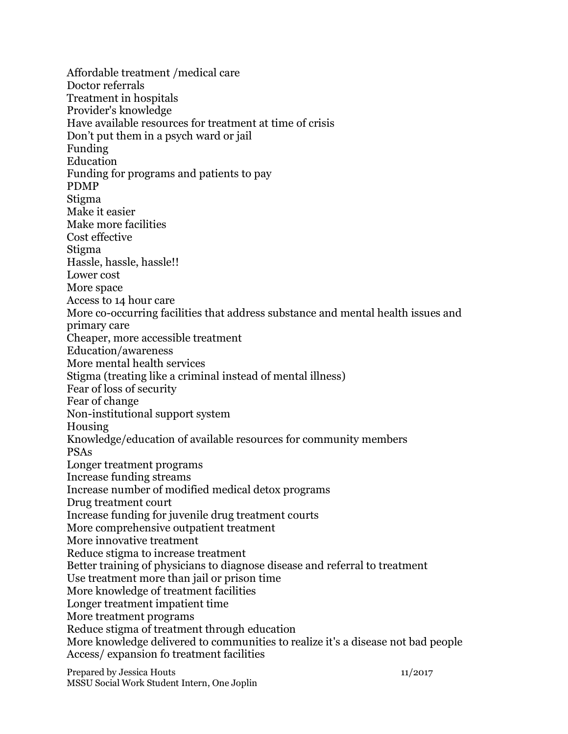Affordable treatment /medical care Doctor referrals Treatment in hospitals Provider's knowledge Have available resources for treatment at time of crisis Don't put them in a psych ward or jail Funding Education Funding for programs and patients to pay PDMP Stigma Make it easier Make more facilities Cost effective Stigma Hassle, hassle, hassle!! Lower cost More space Access to 14 hour care More co-occurring facilities that address substance and mental health issues and primary care Cheaper, more accessible treatment Education/awareness More mental health services Stigma (treating like a criminal instead of mental illness) Fear of loss of security Fear of change Non-institutional support system Housing Knowledge/education of available resources for community members PSAs Longer treatment programs Increase funding streams Increase number of modified medical detox programs Drug treatment court Increase funding for juvenile drug treatment courts More comprehensive outpatient treatment More innovative treatment Reduce stigma to increase treatment Better training of physicians to diagnose disease and referral to treatment Use treatment more than jail or prison time More knowledge of treatment facilities Longer treatment impatient time More treatment programs Reduce stigma of treatment through education More knowledge delivered to communities to realize it's a disease not bad people Access/ expansion fo treatment facilities

Prepared by Jessica Houts 11/2017 MSSU Social Work Student Intern, One Joplin